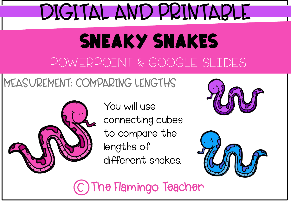## DIGITAL AND PRINTABLE

### SNEAKY SNAKES POWERPOINT & GOOGLE SLIDES

#### MEASUREMENT: COMPARING LENGTHS



You will use connecting cubes to compare the lengths of different snakes.





The Flamingo Teacher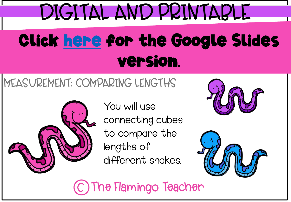# DIGITAL AND PRINTABLE Click [here](https://docs.google.com/presentation/d/1gkACRf7r-wGPfthrAMthHKKJI0xNoga0BUxscz9Eirg/copy) for the Google Slides version.

### MEASUREMENT: COMPARING LENGTHS



You will use connecting cubes to compare the lengths of different snakes.





The Flamingo Teacher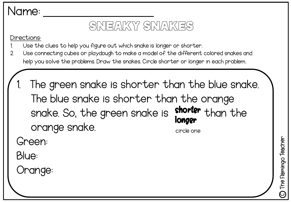#### Sneaky snakes

Directions:

- Use the clues to help you figure out which snake is longer or shorter.
- 2. Use connecting cubes or playdough to make a model of the different colored snakes and help you solve the problems. Draw the snakes. Circle shorter or longer in each problem.
	- The green snake is shorter than the blue snake. The blue snake is shorter than the orange snake. So, the green snake is orange snake. shorter than the longer circle one

Green:

Blue:

Orange: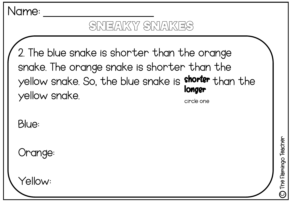#### Sneaky snakes

2. The blue snake is shorter than the orange snake. The orange snake is shorter than the yellow snake. So, the blue snake is shorter than the yellow snake. longer circle one

Blue:

Orange:

Yellow: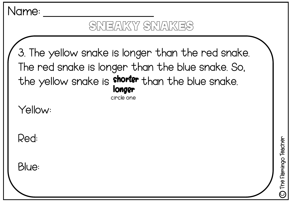#### Sneaky snakes

3. The yellow snake is longer than the red snake. The red snake is longer than the blue snake. So, the yellow snake is shorter than the blue snake. longer circle one

Yellow:

Red:

Blue:

The Flamingo Teacher The Flamingo Teacher  $\widehat{\mathcal{O}}$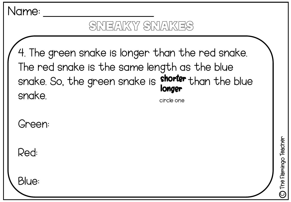

#### Sneaky snakes

4. The green snake is longer than the red snake. The red snake is the same length as the blue snake. So, the green snake is shorter than the blue snake. longer circle one

Green:

Red:

Blue: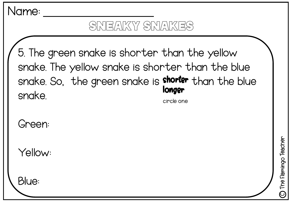

Green:

Yellow:

Blue: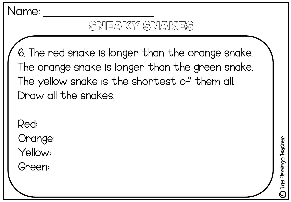#### SNEAKY SNAKES

6. The red snake is longer than the orange snake. The orange snake is longer than the green snake. The yellow snake is the shortest of them all. Draw all the snakes.

Red:

Orange:

Yellow:

Green: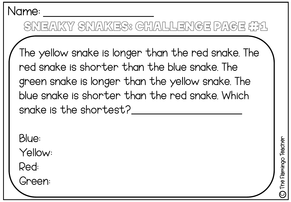#### SNEAKY SNAKES: CHALLENGE PAGE #11

The yellow snake is longer than the red snake. The red snake is shorter than the blue snake. The green snake is longer than the yellow snake. The blue snake is shorter than the red snake. Which snake is the shortest?

Blue:

Yellow:

Red:

Green: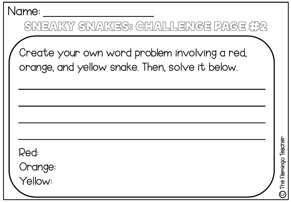#### SNEAKY SNAKES: CHALLENGE PAGE ##2

Create your own word problem involving a red, orange, and yellow snake. Then, solve it below.

Red:

Orange:

Yellow: